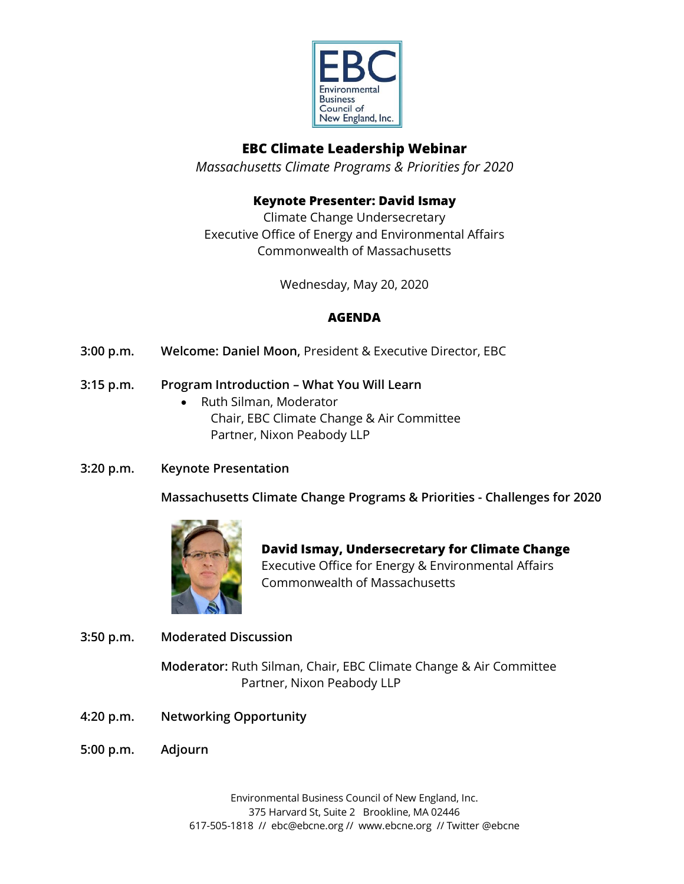

# **EBC Climate Leadership Webinar**

*Massachusetts Climate Programs & Priorities for 2020*

## **Keynote Presenter: David Ismay**

Climate Change Undersecretary Executive Office of Energy and Environmental Affairs Commonwealth of Massachusetts

Wednesday, May 20, 2020

# **AGENDA**

**3:00 p.m. Welcome: Daniel Moon,** President & Executive Director, EBC

### **3:15 p.m. Program Introduction – What You Will Learn**

- Ruth Silman, Moderator Chair, EBC Climate Change & Air Committee Partner, Nixon Peabody LLP
- **3:20 p.m. Keynote Presentation**

**Massachusetts Climate Change Programs & Priorities - Challenges for 2020**



**David Ismay, Undersecretary for Climate Change**  Executive Office for Energy & Environmental Affairs Commonwealth of Massachusetts

**3:50 p.m. Moderated Discussion**

**Moderator:** Ruth Silman, Chair, EBC Climate Change & Air Committee Partner, Nixon Peabody LLP

- **4:20 p.m. Networking Opportunity**
- **5:00 p.m. Adjourn**

Environmental Business Council of New England, Inc. 375 Harvard St, Suite 2 Brookline, MA 02446 617-505-1818 // ebc@ebcne.org // www.ebcne.org // Twitter @ebcne